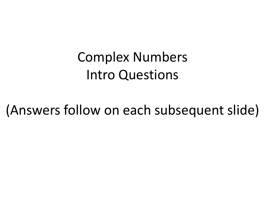# Complex Numbers Intro Questions

(Answers follow on each subsequent slide)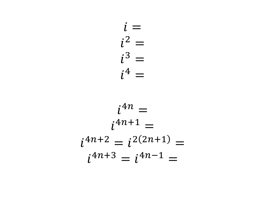$$
i = i2 = i3 = i4 =
$$

$$
i^{4n} =
$$
  
\n
$$
i^{4n+1} =
$$
  
\n
$$
i^{4n+2} = i^{2(2n+1)} =
$$
  
\n
$$
i^{4n+3} = i^{4n-1} =
$$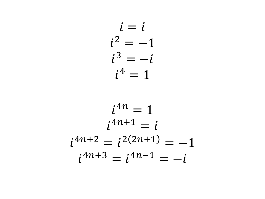$$
i = i
$$
  

$$
i2 = -1
$$
  

$$
i3 = -i
$$
  

$$
i4 = 1
$$

$$
i^{4n} = 1
$$
  
\n
$$
i^{4n+1} = i
$$
  
\n
$$
i^{4n+2} = i^{2(2n+1)} = -1
$$
  
\n
$$
i^{4n+3} = i^{4n-1} = -i
$$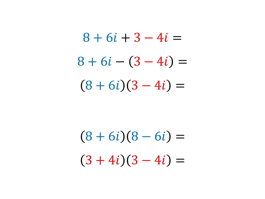# $8 + 6i + 3 - 4i =$  $8 + 6i - (3 - 4i) =$  $(8+6i)(3-4i) =$

 $(8+6i)(8-6i) =$  $(3 + 4i)(3 – 4i) =$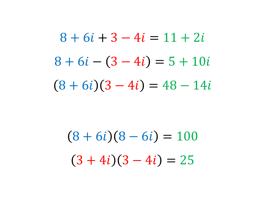$8 + 6i + 3 - 4i = 11 + 2i$  $8 + 6i - (3 - 4i) = 5 + 10i$  $(8+6i)(3-4i) = 48-14i$ 

 $(8+6i)(8-6i) = 100$  $(3 + 4i)(3 – 4i) = 25$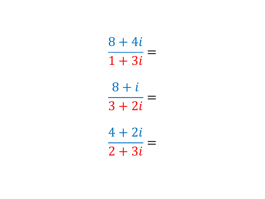$8+4i$  $\frac{1}{1+3i}$  $8+i$  $\frac{1}{3+2i}$  $4+2i$  $\frac{1}{2+3i}$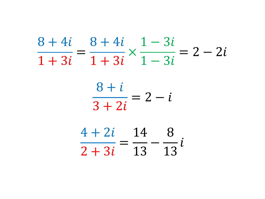$\frac{1}{1+3i} = \frac{3i}{1+3i} \times \frac{1-3i}{1-3i} = 2-2i$  $8+4i$   $8+4i$   $1-3i$  $\frac{8+i}{3+2i} = 2-i$  $\frac{4+2i}{2+3i} = \frac{14}{13} - \frac{8}{13}i$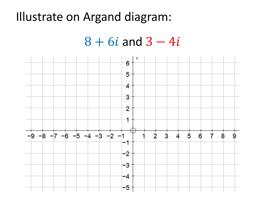# Illustrate on Argand diagram:

 $8 + 6i$  and  $3 - 4i$ 

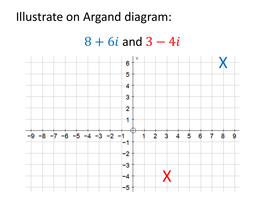# Illustrate on Argand diagram:

 $8 + 6i$  and  $3 - 4i$ 

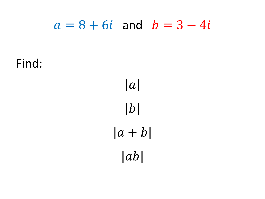# $a = 8 + 6i$  and  $b = 3 - 4i$

Find:

 $|a|$  $|b|$  $|a + b|$  $|ab|$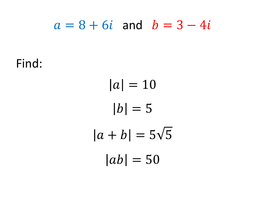# $a = 8 + 6i$  and  $b = 3 - 4i$

Find:

 $|a| = 10$  $|b| = 5$  $|a + b| = 5\sqrt{5}$  $|ab| = 50$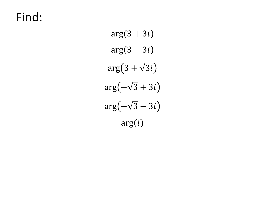# Find:

 $arg(3 + 3i)$  $arg(3 – 3i)$  $arg(3 + \sqrt{3}i)$  $arg(-\sqrt{3} + 3i)$  $arg(-\sqrt{3}-3i)$  $arg(i)$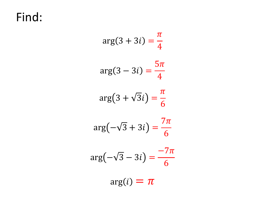# Find:

$$
arg(3+3i) = \frac{\pi}{4}
$$
  

$$
arg(3-3i) = \frac{5\pi}{4}
$$
  

$$
arg(3+\sqrt{3}i) = \frac{\pi}{6}
$$
  

$$
arg(-\sqrt{3}+3i) = \frac{7\pi}{6}
$$
  

$$
arg(i) = \pi
$$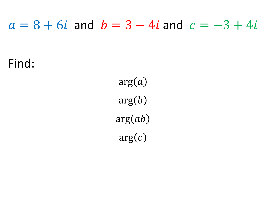# $a = 8 + 6i$  and  $b = 3 - 4i$  and  $c = -3 + 4i$

Find:

 $arg(a)$  $arg(b)$  $arg(ab)$  $arg(c)$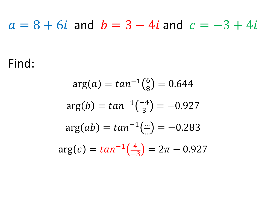# $a = 8 + 6i$  and  $b = 3 - 4i$  and  $c = -3 + 4i$

Find:

$$
\arg(a) = \tan^{-1}\left(\frac{6}{8}\right) = 0.644
$$
  

$$
\arg(b) = \tan^{-1}\left(\frac{-4}{3}\right) = -0.927
$$
  

$$
\arg(ab) = \tan^{-1}\left(\frac{4}{-3}\right) = -0.283
$$
  

$$
\arg(c) = \tan^{-1}\left(\frac{4}{-3}\right) = 2\pi - 0.927
$$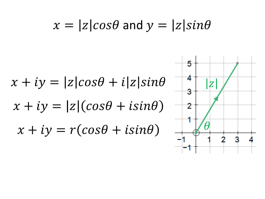$$
x = |z|cos\theta
$$
 and  $y = |z|sin\theta$ 

$$
x + iy = |z|cos\theta + i|z|sin\theta
$$
  

$$
x + iy = |z|(cos\theta + isin\theta)
$$
  

$$
x + iy = r(cos\theta + isin\theta)
$$

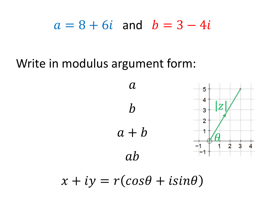# $a = 8 + 6i$  and  $b = 3 - 4i$

# Write in modulus argument form:

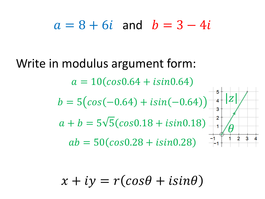# $a = 8 + 6i$  and  $b = 3 - 4i$

#### Write in modulus argument form:  $a = 10(cos 0.64 + isin 0.64)$ 5  $\overline{Z}$  $b = 5 (cos(-0.64) + isin(-0.64))$  $\overline{4}$ 3 2  $a + b = 5\sqrt{5}(\cos 0.18 + i \sin 0.18)$  $\theta$  $ab = 50(cos0.28 + isin0.28)$

$$
x + iy = r(cos\theta + isin\theta)
$$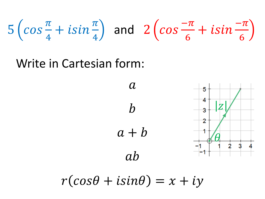$$
5\left(\cos\frac{\pi}{4} + i\sin\frac{\pi}{4}\right) \text{ and } 2\left(\cos\frac{-\pi}{6} + i\sin\frac{-\pi}{6}\right)
$$

# Write in Cartesian form:

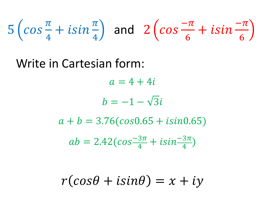$$
5\left(\cos\frac{\pi}{4} + i\sin\frac{\pi}{4}\right) \text{ and } 2\left(\cos\frac{-\pi}{6} + i\sin\frac{-\pi}{6}\right)
$$

Write in Cartesian form:

 $a = 4 + 4i$  $b = -1 - \sqrt{3}i$  $a + b = 3.76(cos 0.65 + i sin 0.65)$  $ab = 2.42(cos\frac{-3\pi}{4} + i sin\frac{-3\pi}{4})$ )

 $r(cos\theta + i sin\theta) = x + i y$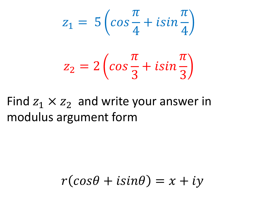$z_1 = 5 | \cos$  $\overline{\pi}$ 4  $+ i sin$  $\overline{\pi}$ 4

 $z_2 = 2 \vert \cos$  $\overline{\pi}$ 3  $+ i sin$  $\overline{\pi}$ 3

# Find  $z_1 \times z_2$  and write your answer in modulus argument form

# $r(cos\theta + i sin\theta) = x + iy$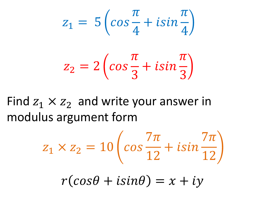$$
z_1 = 5\left(\cos\frac{\pi}{4} + i\sin\frac{\pi}{4}\right)
$$

$$
z_2 = 2\left(\cos\frac{\pi}{3} + i\sin\frac{\pi}{3}\right)
$$

Find  $z_1 \times z_2$  and write your answer in modulus argument form

$$
z_1 \times z_2 = 10 \left( \cos \frac{7\pi}{12} + i \sin \frac{7\pi}{12} \right)
$$

 $r(cos\theta + i sin\theta) = x + iy$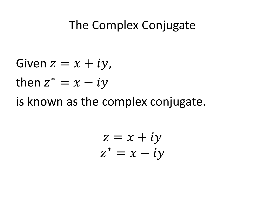# The Complex Conjugate

Given  $z = x + iy$ , then  $z^* = x - iy$ 

is known as the complex conjugate.

$$
z = x + iy
$$

$$
z^* = x - iy
$$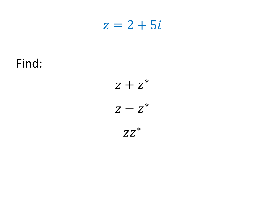

## Find:

 $z + z^*$  $Z - Z^*$ 

 $ZZ^*$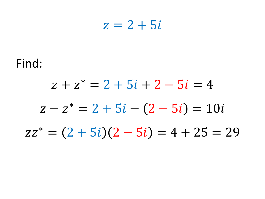$z = 2 + 5i$ 

### Find:

 $z + z^* = 2 + 5i + 2 - 5i = 4$  $z - z^* = 2 + 5i - (2 - 5i) = 10i$  $zz^* = (2 + 5i)(2 - 5i) = 4 + 25 = 29$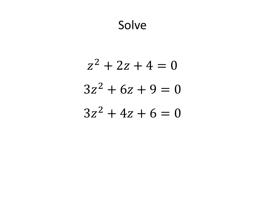# Solve

# $z^2 + 2z + 4 = 0$  $3z^2 + 6z + 9 = 0$  $3z^2 + 4z + 6 = 0$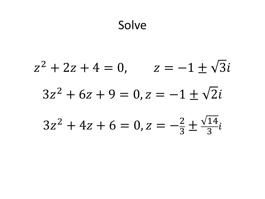# Solve

 $z^2 + 2z + 4 = 0$ ,  $z = -1 \pm \sqrt{3}i$  $3z^2 + 6z + 9 = 0, z = -1 \pm \sqrt{2}i$  $3z^2 + 4z + 6 = 0, z = -\frac{2}{3} \pm \frac{\sqrt{14}}{3}$ 3  $\boldsymbol{i}$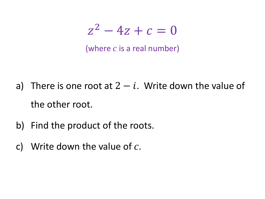$z^2 - 4z + c = 0$ 

(where *c* is a real number)

- a) There is one root at  $2 i$ . Write down the value of the other root.
- b) Find the product of the roots.
- c) Write down the value of *c*.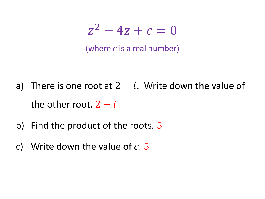$z^2 - 4z + c = 0$ 

(where *c* is a real number)

- a) There is one root at  $2 i$ . Write down the value of the other root.  $2 + i$
- b) Find the product of the roots. 5
- c) Write down the value of *c*. 5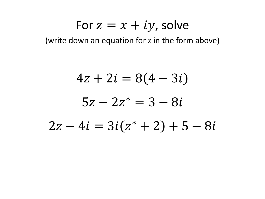# For  $z = x + iy$ , solve

(write down an equation for *z* in the form above)

$$
4z + 2i = 8(4 - 3i)
$$
  

$$
5z - 2z^* = 3 - 8i
$$
  

$$
2z - 4i = 3i(z^* + 2) + 5 - 8i
$$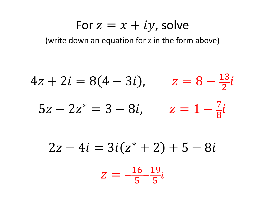# For  $z = x + iy$ , solve

(write down an equation for *z* in the form above)

$$
4z + 2i = 8(4 - 3i), \qquad z = 8 - \frac{13}{2}i
$$
  
\n
$$
5z - 2z^* = 3 - 8i, \qquad z = 1 - \frac{7}{8}i
$$
  
\n
$$
2z - 4i = 3i(z^* + 2) + 5 - 8i
$$
  
\n
$$
z = -\frac{16}{5} - \frac{19}{5}i
$$